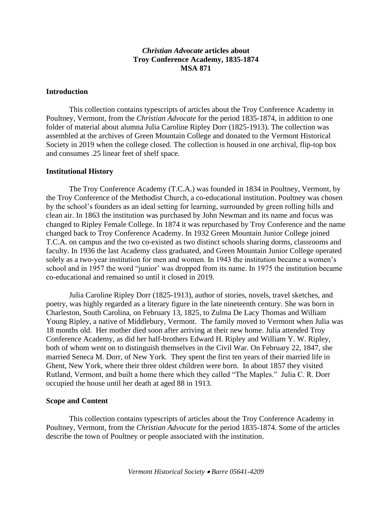# *Christian Advocate* **articles about Troy Conference Academy, 1835-1874 MSA 871**

#### **Introduction**

This collection contains typescripts of articles about the Troy Conference Academy in Poultney, Vermont, from the *Christian Advocate* for the period 1835-1874, in addition to one folder of material about alumna Julia Caroline Ripley Dorr (1825-1913). The collection was assembled at the archives of Green Mountain College and donated to the Vermont Historical Society in 2019 when the college closed. The collection is housed in one archival, flip-top box and consumes .25 linear feet of shelf space.

#### **Institutional History**

The Troy Conference Academy (T.C.A.) was founded in 1834 in Poultney, Vermont, by the Troy Conference of the Methodist Church, a co-educational institution. Poultney was chosen by the school's founders as an ideal setting for learning, surrounded by green rolling hills and clean air. In 1863 the institution was purchased by John Newman and its name and focus was changed to Ripley Female College. In 1874 it was repurchased by Troy Conference and the name changed back to Troy Conference Academy. In 1932 Green Mountain Junior College joined T.C.A. on campus and the two co-existed as two distinct schools sharing dorms, classrooms and faculty. In 1936 the last Academy class graduated, and Green Mountain Junior College operated solely as a two-year institution for men and women. In 1943 the institution became a women's school and in 1957 the word "junior' was dropped from its name. In 1975 the institution became co-educational and remained so until it closed in 2019.

Julia Caroline Ripley Dorr (1825-1913), author of stories, novels, travel sketches, and poetry, was highly regarded as a literary figure in the late nineteenth century. She was born in Charleston, South Carolina, on February 13, 1825, to Zulma De Lacy Thomas and William Young Ripley, a native of Middlebury, Vermont. The family moved to Vermont when Julia was 18 months old. Her mother died soon after arriving at their new home. Julia attended Troy Conference Academy, as did her half-brothers Edward H. Ripley and William Y. W. Ripley, both of whom went on to distinguish themselves in the Civil War. On February 22, 1847, she married Seneca M. Dorr, of New York. They spent the first ten years of their married life in Ghent, New York, where their three oldest children were born. In about 1857 they visited Rutland, Vermont, and built a home there which they called "The Maples." Julia C. R. Dorr occupied the house until her death at aged 88 in 1913.

### **Scope and Content**

This collection contains typescripts of articles about the Troy Conference Academy in Poultney, Vermont, from the *Christian Advocate* for the period 1835-1874. Some of the articles describe the town of Poultney or people associated with the institution.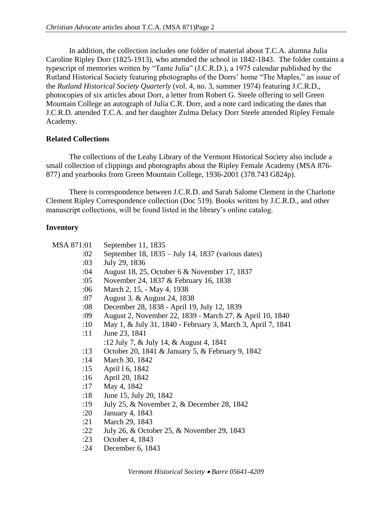In addition, the collection includes one folder of material about T.C.A. alumna Julia Caroline Ripley Dorr (1825-1913), who attended the school in 1842-1843. The folder contains a typescript of memories written by "Tante Julia" (J.C.R.D.), a 1975 calendar published by the Rutland Historical Society featuring photographs of the Dorrs' home "The Maples," an issue of the *Rutland Historical Society Quarterly* (vol. 4, no. 3, summer 1974) featuring J.C.R.D., photocopies of six articles about Dorr, a letter from Robert G. Steele offering to sell Green Mountain College an autograph of Julia C.R. Dorr, and a note card indicating the dates that J.C.R.D. attended T.C.A. and her daughter Zulma Delacy Dorr Steele attended Ripley Female Academy.

# **Related Collections**

The collections of the Leahy Library of the Vermont Historical Society also include a small collection of clippings and photographs about the Ripley Female Academy (MSA 876- 877) and yearbooks from Green Mountain College, 1936-2001 (378.743 G824p).

There is correspondence between J.C.R.D. and Sarah Salome Clement in the Charlotte Clement Ripley Correspondence collection (Doc 519). Books written by J.C.R.D., and other manuscript collections, will be found listed in the library's online catalog.

### **Inventory**

| MSA 871:01 | September 11, 1835                                          |
|------------|-------------------------------------------------------------|
| :02        | September 18, $1835 - July 14$ , 1837 (various dates)       |
| :03        | July 29, 1836                                               |
| :04        | August 18, 25, October 6 & November 17, 1837                |
| :05        | November 24, 1837 & February 16, 1838                       |
| :06        | March 2, 15, - May 4, 1938                                  |
| :07        | August 3. & August 24, 1838                                 |
| :08        | December 28, 1838 - April 19, July 12, 1839                 |
| :09        | August 2, November 22, 1839 - March 27, & April 10, 1840    |
| :10        | May 1, & July 31, 1840 - February 3, March 3, April 7, 1841 |
| :11        | June 23, 1841                                               |
|            | :12 July 7, & July 14, & August 4, 1841                     |
| :13        | October 20, 1841 & January 5, & February 9, 1842            |
| :14        | March 30, 1842                                              |
| :15        | April 16, 1842                                              |
| :16        | April 20, 1842                                              |
| :17        | May 4, 1842                                                 |
| :18        | June 15, July 20, 1842                                      |
| :19        | July 25, & November 2, & December 28, 1842                  |
| :20        | January 4, 1843                                             |
| :21        | March 29, 1843                                              |
| :22        | July 26, & October 25, & November 29, 1843                  |
| :23        | October 4, 1843                                             |
| :24        | December 6, 1843                                            |